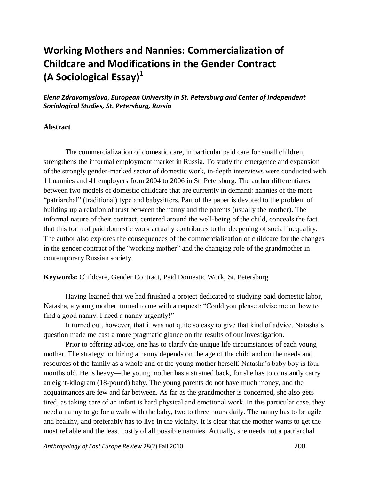# **Working Mothers and Nannies: Commercialization of Childcare and Modifications in the Gender Contract (A Sociological Essay)<sup>1</sup>**

*Elena Zdravomyslova, European University in St. Petersburg and Center of Independent Sociological Studies, St. Petersburg, Russia*

### **Abstract**

The commercialization of domestic care, in particular paid care for small children, strengthens the informal employment market in Russia. To study the emergence and expansion of the strongly gender-marked sector of domestic work, in-depth interviews were conducted with 11 nannies and 41 employers from 2004 to 2006 in St. Petersburg. The author differentiates between two models of domestic childcare that are currently in demand: nannies of the more "patriarchal" (traditional) type and babysitters. Part of the paper is devoted to the problem of building up a relation of trust between the nanny and the parents (usually the mother). The informal nature of their contract, centered around the well-being of the child, conceals the fact that this form of paid domestic work actually contributes to the deepening of social inequality. The author also explores the consequences of the commercialization of childcare for the changes in the gender contract of the "working mother" and the changing role of the grandmother in contemporary Russian society.

## **Keywords:** Childcare, Gender Contract, Paid Domestic Work, St. Petersburg

Having learned that we had finished a project dedicated to studying paid domestic labor, Natasha, a young mother, turned to me with a request: "Could you please advise me on how to find a good nanny. I need a nanny urgently!"

It turned out, however, that it was not quite so easy to give that kind of advice. Natasha's question made me cast a more pragmatic glance on the results of our investigation.

Prior to offering advice, one has to clarify the unique life circumstances of each young mother. The strategy for hiring a nanny depends on the age of the child and on the needs and resources of the family as a whole and of the young mother herself. Natasha's baby boy is four months old. He is heavy—the young mother has a strained back, for she has to constantly carry an eight-kilogram (18-pound) baby. The young parents do not have much money, and the acquaintances are few and far between. As far as the grandmother is concerned, she also gets tired, as taking care of an infant is hard physical and emotional work. In this particular case, they need a nanny to go for a walk with the baby, two to three hours daily. The nanny has to be agile and healthy, and preferably has to live in the vicinity. It is clear that the mother wants to get the most reliable and the least costly of all possible nannies. Actually, she needs not a patriarchal

*Anthropology of East Europe Review* 28(2) Fall 2010 200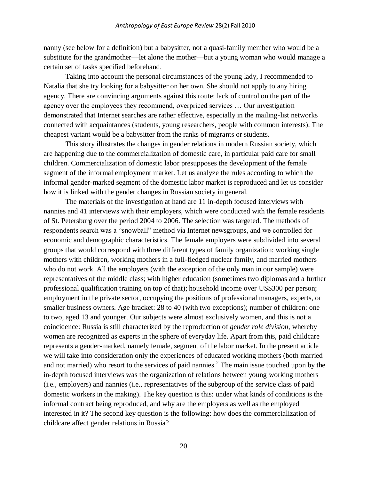nanny (see below for a definition) but a babysitter, not a quasi-family member who would be a substitute for the grandmother—let alone the mother—but a young woman who would manage a certain set of tasks specified beforehand.

Taking into account the personal circumstances of the young lady, I recommended to Natalia that she try looking for a babysitter on her own. She should not apply to any hiring agency. There are convincing arguments against this route: lack of control on the part of the agency over the employees they recommend, overpriced services … Our investigation demonstrated that Internet searches are rather effective, especially in the mailing-list networks connected with acquaintances (students, young researchers, people with common interests). The cheapest variant would be a babysitter from the ranks of migrants or students.

This story illustrates the changes in gender relations in modern Russian society, which are happening due to the commercialization of domestic care, in particular paid care for small children. Commercialization of domestic labor presupposes the development of the female segment of the informal employment market. Let us analyze the rules according to which the informal gender-marked segment of the domestic labor market is reproduced and let us consider how it is linked with the gender changes in Russian society in general.

The materials of the investigation at hand are 11 in-depth focused interviews with nannies and 41 interviews with their employers, which were conducted with the female residents of St. Petersburg over the period 2004 to 2006. The selection was targeted. The methods of respondents search was a "snowball" method via Internet newsgroups, and we controlled for economic and demographic characteristics. The female employers were subdivided into several groups that would correspond with three different types of family organization: working single mothers with children, working mothers in a full-fledged nuclear family, and married mothers who do not work. All the employers (with the exception of the only man in our sample) were representatives of the middle class; with higher education (sometimes two diplomas and a further professional qualification training on top of that); household income over US\$300 per person; employment in the private sector, occupying the positions of professional managers, experts, or smaller business owners. Age bracket: 28 to 40 (with two exceptions); number of children: one to two, aged 13 and younger. Our subjects were almost exclusively women, and this is not a coincidence: Russia is still characterized by the reproduction of *gender role division,* whereby women are recognized as experts in the sphere of everyday life. Apart from this, paid childcare represents a gender-marked, namely female, segment of the labor market. In the present article we will take into consideration only the experiences of educated working mothers (both married and not married) who resort to the services of paid nannies.<sup>2</sup> The main issue touched upon by the in-depth focused interviews was the organization of relations between young working mothers (i.e., employers) and nannies (i.e., representatives of the subgroup of the service class of paid domestic workers in the making). The key question is this: under what kinds of conditions is the informal contract being reproduced, and why are the employers as well as the employed interested in it? The second key question is the following: how does the commercialization of childcare affect gender relations in Russia?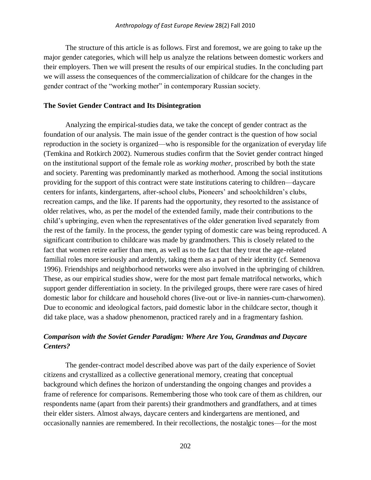The structure of this article is as follows. First and foremost, we are going to take up the major gender categories, which will help us analyze the relations between domestic workers and their employers. Then we will present the results of our empirical studies. In the concluding part we will assess the consequences of the commercialization of childcare for the changes in the gender contract of the "working mother" in contemporary Russian society.

#### **The Soviet Gender Contract and Its Disintegration**

Analyzing the empirical-studies data, we take the concept of gender contract as the foundation of our analysis. The main issue of the gender contract is the question of how social reproduction in the society is organized—who is responsible for the organization of everyday life (Temkina and Rotkirch 2002). Numerous studies confirm that the Soviet gender contract hinged on the institutional support of the female role as *working mother*, proscribed by both the state and society. Parenting was predominantly marked as motherhood. Among the social institutions providing for the support of this contract were state institutions catering to children—daycare centers for infants, kindergartens, after-school clubs, Pioneers' and schoolchildren's clubs, recreation camps, and the like. If parents had the opportunity, they resorted to the assistance of older relatives, who, as per the model of the extended family, made their contributions to the child's upbringing, even when the representatives of the older generation lived separately from the rest of the family. In the process, the gender typing of domestic care was being reproduced. A significant contribution to childcare was made by grandmothers. This is closely related to the fact that women retire earlier than men, as well as to the fact that they treat the age-related familial roles more seriously and ardently, taking them as a part of their identity (cf. Semenova 1996). Friendships and neighborhood networks were also involved in the upbringing of children. These, as our empirical studies show, were for the most part female matrifocal networks, which support gender differentiation in society. In the privileged groups, there were rare cases of hired domestic labor for childcare and household chores (live-out or live-in nannies-cum-charwomen). Due to economic and ideological factors, paid domestic labor in the childcare sector, though it did take place, was a shadow phenomenon, practiced rarely and in a fragmentary fashion.

# *Comparison with the Soviet Gender Paradigm: Where Are You, Grandmas and Daycare Centers?*

The gender-contract model described above was part of the daily experience of Soviet citizens and crystallized as a collective generational memory, creating that conceptual background which defines the horizon of understanding the ongoing changes and provides a frame of reference for comparisons. Remembering those who took care of them as children, our respondents name (apart from their parents) their grandmothers and grandfathers, and at times their elder sisters. Almost always, daycare centers and kindergartens are mentioned, and occasionally nannies are remembered. In their recollections, the nostalgic tones—for the most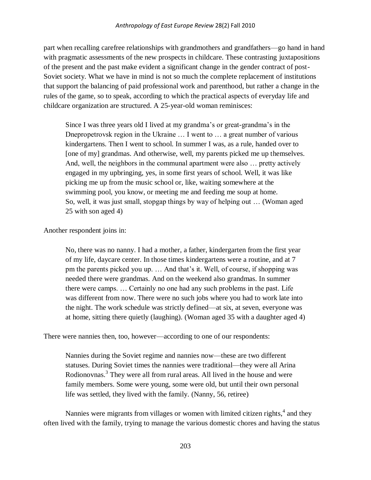part when recalling carefree relationships with grandmothers and grandfathers—go hand in hand with pragmatic assessments of the new prospects in childcare. These contrasting juxtapositions of the present and the past make evident a significant change in the gender contract of post-Soviet society. What we have in mind is not so much the complete replacement of institutions that support the balancing of paid professional work and parenthood, but rather a change in the rules of the game, so to speak, according to which the practical aspects of everyday life and childcare organization are structured. A 25-year-old woman reminisces:

Since I was three years old I lived at my grandma's or great-grandma's in the Dnepropetrovsk region in the Ukraine ... I went to ... a great number of various kindergartens. Then I went to school. In summer I was, as a rule, handed over to [one of my] grandmas. And otherwise, well, my parents picked me up themselves. And, well, the neighbors in the communal apartment were also … pretty actively engaged in my upbringing, yes, in some first years of school. Well, it was like picking me up from the music school or, like, waiting somewhere at the swimming pool, you know, or meeting me and feeding me soup at home. So, well, it was just small, stopgap things by way of helping out … (Woman aged 25 with son aged 4)

Another respondent joins in:

No, there was no nanny. I had a mother, a father, kindergarten from the first year of my life, daycare center. In those times kindergartens were a routine, and at 7 pm the parents picked you up. … And that's it. Well, of course, if shopping was needed there were grandmas. And on the weekend also grandmas. In summer there were camps. … Certainly no one had any such problems in the past. Life was different from now. There were no such jobs where you had to work late into the night. The work schedule was strictly defined—at six, at seven, everyone was at home, sitting there quietly (laughing). (Woman aged 35 with a daughter aged 4)

There were nannies then, too, however—according to one of our respondents:

Nannies during the Soviet regime and nannies now—these are two different statuses. During Soviet times the nannies were traditional—they were all Arina Rodionovnas.<sup>3</sup> They were all from rural areas. All lived in the house and were family members. Some were young, some were old, but until their own personal life was settled, they lived with the family. (Nanny, 56, retiree)

Nannies were migrants from villages or women with limited citizen rights,<sup>4</sup> and they often lived with the family, trying to manage the various domestic chores and having the status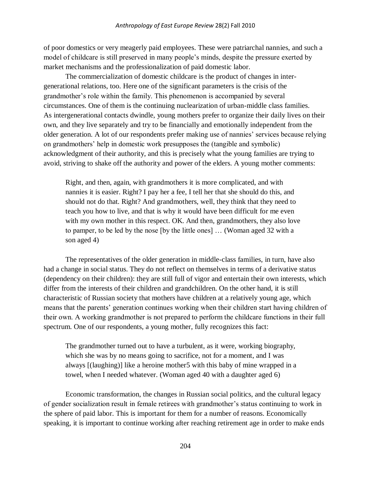of poor domestics or very meagerly paid employees. These were patriarchal nannies, and such a model of childcare is still preserved in many people's minds, despite the pressure exerted by market mechanisms and the professionalization of paid domestic labor.

The commercialization of domestic childcare is the product of changes in intergenerational relations, too. Here one of the significant parameters is the crisis of the grandmother's role within the family. This phenomenon is accompanied by several circumstances. One of them is the continuing nuclearization of urban-middle class families. As intergenerational contacts dwindle, young mothers prefer to organize their daily lives on their own, and they live separately and try to be financially and emotionally independent from the older generation. A lot of our respondents prefer making use of nannies' services because relying on grandmothers' help in domestic work presupposes the (tangible and symbolic) acknowledgment of their authority, and this is precisely what the young families are trying to avoid, striving to shake off the authority and power of the elders. A young mother comments:

Right, and then, again, with grandmothers it is more complicated, and with nannies it is easier. Right? I pay her a fee, I tell her that she should do this, and should not do that. Right? And grandmothers, well, they think that they need to teach you how to live, and that is why it would have been difficult for me even with my own mother in this respect. OK. And then, grandmothers, they also love to pamper, to be led by the nose [by the little ones] … (Woman aged 32 with a son aged 4)

The representatives of the older generation in middle-class families, in turn, have also had a change in social status. They do not reflect on themselves in terms of a derivative status (dependency on their children): they are still full of vigor and entertain their own interests, which differ from the interests of their children and grandchildren. On the other hand, it is still characteristic of Russian society that mothers have children at a relatively young age, which means that the parents' generation continues working when their children start having children of their own. A working grandmother is not prepared to perform the childcare funсtions in their full spectrum. One of our respondents, a young mother, fully recognizes this fact:

The grandmother turned out to have a turbulent, as it were, working biography, which she was by no means going to sacrifice, not for a moment, and I was always [(laughing)] like a heroine mother5 with this baby of mine wrapped in a towel, when I needed whatever. (Woman aged 40 with a daughter aged 6)

Economic transformation, the changes in Russian social politics, and the cultural legacy of gender socialization result in female retirees with grandmother's status continuing to work in the sphere of paid labor. This is important for them for a number of reasons. Economically speaking, it is important to continue working after reaching retirement age in order to make ends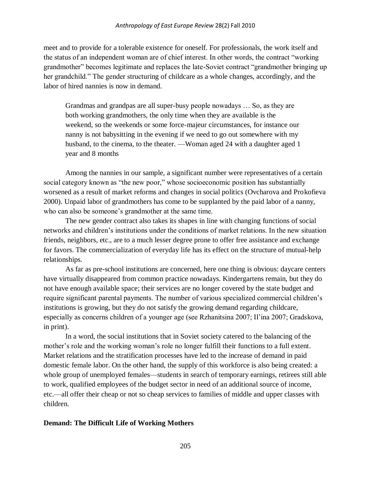#### *Anthropology of East Europe Review* 28(2) Fall 2010

meet and to provide for a tolerable existence for oneself. For professionals, the work itself and the status of an independent woman are of chief interest. In other words, the contract "working grandmother" becomes legitimate and replaces the late-Soviet contract "grandmother bringing up her grandchild." The gender structuring of childcare as a whole changes, accordingly, and the labor of hired nannies is now in demand.

Grandmas and grandpas are all super-busy people nowadays … So, as they are both working grandmothers, the only time when they are available is the weekend, so the weekends or some force-majeur circumstances, for instance our nanny is not babysitting in the evening if we need to go out somewhere with my husband, to the cinema, to the theater. —Woman aged 24 with a daughter aged 1 year and 8 months

Among the nannies in our sample, a significant number were representatives of a certain social category known as "the new poor," whose socioeconomic position has substantially worsened as a result of market reforms and changes in social politics (Ovcharova and Prokofieva 2000). Unpaid labor of grandmothers has come to be supplanted by the paid labor of a nanny, who can also be someone's grandmother at the same time.

The new gender contract also takes its shapes in line with changing functions of social networks and children's institutions under the conditions of market relations. In the new situation friends, neighbors, etc., are to a much lesser degree prone to offer free assistance and exchange for favors. The commercialization of everyday life has its effect on the structure of mutual-help relationships.

As far as pre-school institutions are concerned, here one thing is obvious: daycare centers have virtually disappeared from common practice nowadays. Kindergartens remain, but they do not have enough available space; their services are no longer covered by the state budget and require significant parental payments. The number of various specialized commercial children's institutions is growing, but they do not satisfy the growing demand regarding childcare, especially as concerns children of a younger age (see Rzhanitsina 2007; Il'ina 2007; Gradskova, in print).

In a word, the social institutions that in Soviet society catered to the balancing of the mother's role and the working woman's role no longer fulfill their functions to a full extent. Market relations and the stratification processes have led to the increase of demand in paid domestic female labor. On the other hand, the supply of this workforce is also being created: a whole group of unemployed females—students in search of temporary earnings, retirees still able to work, qualified employees of the budget sector in need of an additional source of income, etc.—all offer their cheap or not so cheap services to families of middle and upper classes with children.

### **Demand: The Difficult Life of Working Mothers**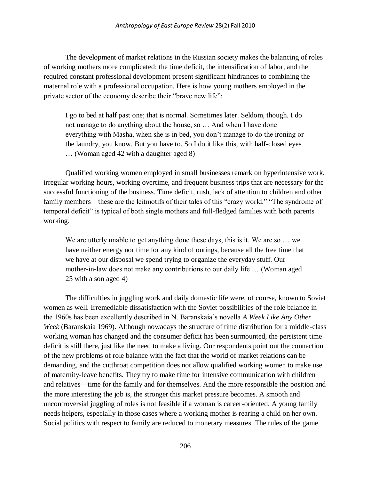The development of market relations in the Russian society makes the balancing of roles of working mothers more complicated: the time deficit, the intensification of labor, and the required constant professional development present significant hindrances to combining the maternal role with a professional occupation. Here is how young mothers employed in the private sector of the economy describe their "brave new life":

I go to bed at half past one; that is normal. Sometimes later. Seldom, though. I do not manage to do anything about the house, so … And when I have done everything with Masha, when she is in bed, you don't manage to do the ironing or the laundry, you know. But you have to. So I do it like this, with half-closed eyes … (Woman aged 42 with a daughter aged 8)

Qualified working women employed in small businesses remark on hyperintensive work, irregular working hours, working overtime, and frequent business trips that are necessary for the successful functioning of the business. Time deficit, rush, lack of attention to children and other family members—these are the leitmotifs of their tales of this "crazy world." "The syndrome of temporal deficit" is typical of both single mothers and full-fledged families with both parents working.

We are utterly unable to get anything done these days, this is it. We are so  $\dots$  we have neither energy nor time for any kind of outings, because all the free time that we have at our disposal we spend trying to organize the everyday stuff. Our mother-in-law does not make any contributions to our daily life … (Woman aged 25 with a son aged 4)

The difficulties in juggling work and daily domestic life were, of course, known to Soviet women as well. Irremediable dissatisfaction with the Soviet possibilities of the role balance in the 1960s has been excellently described in N. Baranskaia's novella *A Week Like Any Other Week* (Baranskaia 1969). Although nowadays the structure of time distribution for a middle-class working woman has changed and the consumer deficit has been surmounted, the persistent time deficit is still there, just like the need to make a living. Our respondents point out the connection of the new problems of role balance with the fact that the world of market relations can be demanding, and the cutthroat competition does not allow qualified working women to make use of maternity-leave benefits. They try to make time for intensive communication with children and relatives—time for the family and for themselves. And the more responsible the position and the more interesting the job is, the stronger this market pressure becomes. A smooth and uncontroversial juggling of roles is not feasible if a woman is career-oriented. A young family needs helpers, especially in those cases where a working mother is rearing a child on her own. Social politics with respect to family are reduced to monetary measures. The rules of the game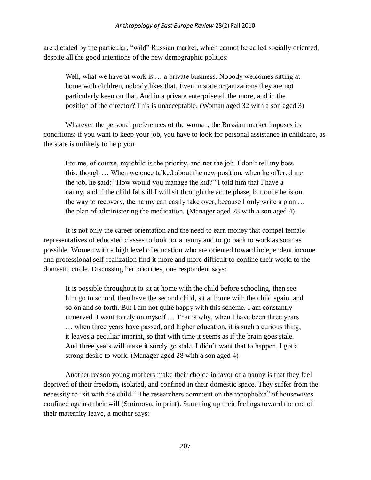are dictated by the particular, "wild" Russian market, which cannot be called socially oriented, despite all the good intentions of the new demographic politics:

Well, what we have at work is … a private business. Nobody welcomes sitting at home with children, nobody likes that. Even in state organizations they are not particularly keen on that. And in a private enterprise all the more, and in the position of the director? This is unacceptable. (Woman aged 32 with a son aged 3)

Whatever the personal preferences of the woman, the Russian market imposes its conditions: if you want to keep your job, you have to look for personal assistance in childcare, as the state is unlikely to help you.

For me, of course, my child is the priority, and not the job. I don't tell my boss this, though … When we once talked about the new position, when he offered me the job, he said: "How would you manage the kid?" I told him that I have a nanny, and if the child falls ill I will sit through the acute phase, but once he is on the way to recovery, the nanny can easily take over, because I only write a plan … the plan of administering the medication. (Manager aged 28 with a son aged 4)

It is not only the career orientation and the need to earn money that сompel female representatives of educated classes to look for a nanny and to go back to work as soon as possible. Women with a high level of education who are oriented toward independent income and professional self-realization find it more and more difficult to confine their world to the domestic circle. Discussing her priorities, one respondent says:

It is possible throughout to sit at home with the child before schooling, then see him go to school, then have the second child, sit at home with the child again, and so on and so forth. But I am not quite happy with this scheme. I am constantly unnerved. I want to rely on myself … That is why, when I have been three years … when three years have passed, and higher education, it is such a curious thing, it leaves a peculiar imprint, so that with time it seems as if the brain goes stale. And three years will make it surely go stale. I didn't want that to happen. I got a strong desire to work. (Manager aged 28 with a son aged 4)

Another reason young mothers make their choice in favor of a nanny is that they feel deprived of their freedom, isolated, and confined in their domestic space. They suffer from the necessity to "sit with the child." The researchers comment on the topophobia  $6$  of housewives confined against their will (Smirnova, in print). Summing up their feelings toward the end of their maternity leave, a mother says: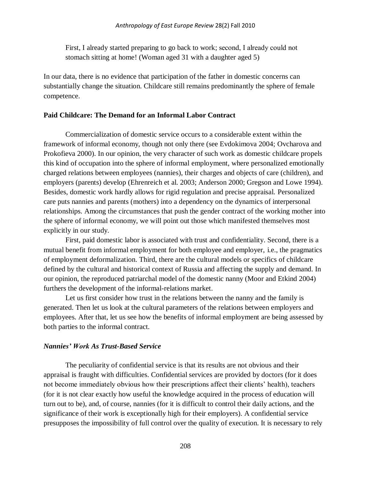First, I already started preparing to go back to work; second, I already сould not stomach sitting at home! (Woman aged 31 with a daughter aged 5)

In our data, there is no evidence that participation of the father in domestic concerns can substantially change the situation. Childcare still remains predominantly the sphere of female competence.

## **Paid Childcare: The Demand for an Informal Labor Contract**

Commercialization of domestic service occurs to a considerable extent within the framework of informal economy, though not only there (see Evdokimova 2004; Ovcharova and Prokofieva 2000). In our opinion, the very character of such work as domestic childcare propels this kind of occupation into the sphere of informal employment, where personalized emotionally charged relations between employees (nannies), their charges and objects of care (children), and employers (parents) develop (Ehrenreich et al. 2003; Anderson 2000; Gregson and Lowe 1994). Besides, domestic work hardly allows for rigid regulation and precise appraisal. Personalized care puts nannies and parents (mothers) into a dependency on the dynamics of interpersonal relationships. Among the circumstances that push the gender contract of the working mother into the sphere of informal economy, we will point out those which manifested themselves most explicitly in our study.

First, paid domestic labor is associated with trust and confidentiality. Second, there is a mutual benefit from informal employment for both employee and employer, i.e., the pragmatics of employment deformalization. Third, there are the cultural models or specifics of childcare defined by the cultural and historical context of Russia and affecting the supply and demand. In our opinion, the reproduced patriarchal model of the domestic nanny (Moor and Etkind 2004) furthers the development of the informal-relations market.

Let us first consider how trust in the relations between the nanny and the family is generated. Then let us look at the cultural parameters of the relations between employers and employees. After that, let us see how the benefits of informal employment are being assessed by both parties to the informal contract.

### *Nannies' Work As Trust-Based Service*

The peculiarity of confidential service is that its results are not obvious and their appraisal is fraught with difficulties. Confidential services are provided by doctors (for it does not become immediately obvious how their prescriptions affect their clients' health), teachers (for it is not clear exactly how useful the knowledge acquired in the process of education will turn out to be), and, of course, nannies (for it is difficult to control their daily actions, and the significance of their work is exceptionally high for their employers). A confidential service presupposes the impossibility of full control over the quality of execution. It is necessary to rely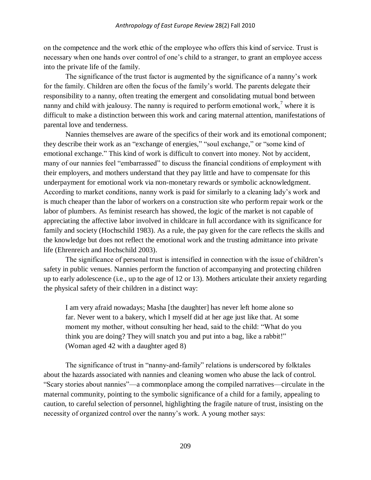on the competenсe and the work ethic of the employee who offers this kind of service. Trust is necessary when one hands over control of one's child to a stranger, to grant an employee access into the private life of the family.

The significanсe of the trust factor is augmented by the significance of a nanny's work for the family. Children are often the focus of the family's world. The parents delegate their responsibility to a nanny, often treating the emergent and consolidating mutual bond between nanny and child with jealousy. The nanny is required to perform emotional work,<sup>7</sup> where it is difficult to make a distinction between this work and caring maternal attention, manifestations of parental love and tenderness.

Nannies themselves are aware of the specifics of their work and its emotional component; they describe their work as an "exchange of energies," "soul exchange," or "some kind of emotional exchange." This kind of work is difficult to convert into money. Not by accident, many of our nannies feel "embarrassed" to discuss the financial conditions of employment with their employers, and mothers understand that they pay little and have to compensate for this underpayment for emotional work via non-monetary rewards or symbolic acknowledgment. According to market conditions, nanny work is paid for similarly to a cleaning lady's work and is much cheaper than the labor of workers on a construction site who perform repair work or the labor of plumbers. As feminist research has showed, the logic of the market is not capable of appreciating the affective labor involved in childcare in full accordance with its significance for family and society (Hochschild 1983). As a rule, the pay given for the care reflects the skills and the knowledge but does not reflect the emotional work and the trusting admittance into private life (Ehrenreich and Hochschild 2003).

The significance of personal trust is intensified in connection with the issue of children's safety in public venues. Nannies perform the function of accompanying and protecting children up to early adolescence (i.e., up to the age of 12 or 13). Mothers articulate their anxiety regarding the physical safety of their children in a distinct way:

I am very afraid nowadays; Masha [the daughter] has never left home alone so far. Never went to a bakery, which I myself did at her age just like that. At some moment my mother, without consulting her head, said to the child: "What do you think you are doing? They will snatch you and put into a bag, like a rabbit!" (Woman aged 42 with a daughter aged 8)

The significance of trust in "nanny-and-family" relations is underscored by folktales about the hazards associated with nannies and cleaning women who abuse the lack of control. "Scary stories about nannies"—a commonplace among the compiled narratives—circulate in the maternal community, pointing to the symbolic significance of a child for a family, appealing to caution, to careful selection of personnel, highlighting the fragile nature of trust, insisting on the necessity of organized control over the nanny's work. A young mother says: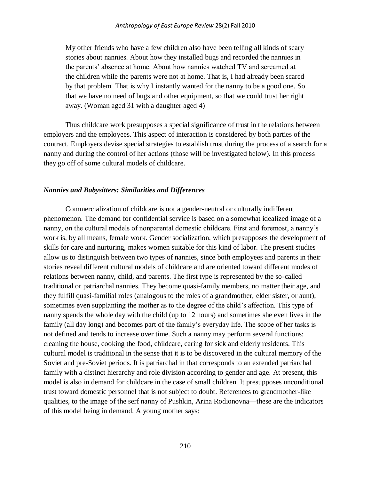My other friends who have a few children also have been telling all kinds of scary stories about nannies. About how they installed bugs and recorded the nannies in the parents' absence at home. About how nannies watched TV and screamed at the children while the parents were not at home. That is, I had already been scared by that problem. That is why I instantly wanted for the nanny to be a good one. So that we have no need of bugs and other equipment, so that we could trust her right away. (Woman aged 31 with a daughter aged 4)

Thus childcare work presupposes a special significance of trust in the relations between employers and the employees. This aspect of interaction is considered by both parties of the contract. Employers devise special strategies to establish trust during the process of a search for a nanny and during the control of her actions (those will be investigated below). In this process they go off of some cultural models of childcare.

#### *Nannies and Babysitters: Similarities and Differences*

Commercialization of childcare is not a gender-neutral or culturally indifferent phenomenon. The demand for confidential service is based on a somewhat idealized image of a nanny, on the cultural models of nonparental domestic childcare. First and foremost, a nanny's work is, by all means, female work. Gender socialization, which presupposes the development of skills for care and nurturing, makes women suitable for this kind of labor. The present studies allow us to distinguish between two types of nannies, since both employees and parents in their stories reveal different cultural models of childcare and are oriented toward different modes of relations between nanny, child, and parents. The first type is represented by the so-called traditional or patriarchal nannies. They become quasi-family members, no matter their age, and they fulfill quasi-familial roles (analogous to the roles of a grandmother, elder sister, or aunt), sometimes even supplanting the mother as to the degree of the child's affection. This type of nanny spends the whole day with the child (up to 12 hours) and sometimes she even lives in the family (all day long) and becomes part of the family's everyday life. The scope of her tasks is not defined and tends to increase over time. Such a nanny may perform several functions: cleaning the house, cooking the food, childcare, caring for sick and elderly residents. This cultural model is traditional in the sense that it is to be discovered in the cultural memory of the Soviet and pre-Soviet periods. It is patriarchal in that corresponds to an extended patriarchal family with a distinct hierarchy and role division according to gender and age. At present, this model is also in demand for childcare in the case of small children. It presupposes unconditional trust toward domestic personnel that is not subject to doubt. References to grandmother-like qualities, to the image of the serf nanny of Pushkin, Arina Rodionovna—these are the indicators of this model being in demand. A young mother says: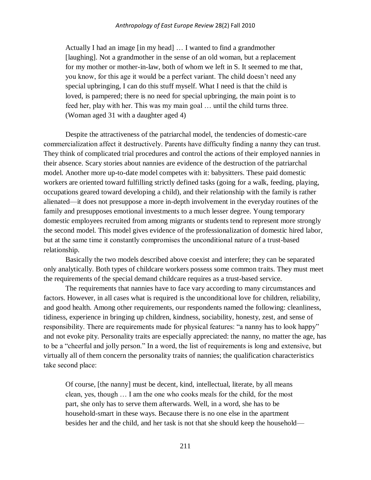#### *Anthropology of East Europe Review* 28(2) Fall 2010

Actually I had an image [in my head] … I wanted to find a grandmother [laughing]. Not a grandmother in the sense of an old woman, but a replacement for my mother or mother-in-law, both of whom we left in S. It seemed to me that, you know, for this age it would be a perfect variant. The child doesn't need any special upbringing, I can do this stuff myself. What I need is that the child is loved, is pampered; there is no need for special upbringing, the main point is to feed her, play with her. This was my main goal … until the child turns three. (Woman aged 31 with a daughter aged 4)

Despite the attractiveness of the patriarchal model, the tendencies of domestic-care commercialization affeсt it destructively. Parents have difficulty finding a nanny they can trust. They think of complicated trial procedures and control the actions of their employed nannies in their absence. Scary stories about nannies are evidence of the destruction of the patriarchal model. Another more up-to-date model competes with it: babysitters. These paid domestic workers are oriented toward fulfilling strictly defined tasks (going for a walk, feeding, playing, occupations geared toward developing a child), and their relationship with the family is rather alienated—it does not presuppose a more in-depth involvement in the everyday routines of the family and presupposes emotional investments to a much lesser degree. Young temporary domestic employees recruited from among migrants or students tend to represent more strongly the second model. This model gives evidence of the professionalization of domestic hired labor, but at the same time it constantly compromises the unсonditional nature of a trust-based relationship.

Basically the two models described above coexist and interfere; they can be separated only analytically. Both types of childcare workers possess some common traits. They must meet the requirements of the special demand childcare requires as a trust-based service.

The requirements that nannies have to face vary according to many circumstances and factors. However, in all cases what is required is the unconditional love for children, reliability, and good health. Among other requirements, our respondents named the following: cleanliness, tidiness, experience in bringing up children, kindness, sociability, honesty, zest, and sense of responsibility. There are requirements made for physical features: "a nanny has to look happy" and not evoke pity. Personality traits are especially appreciated: the nanny, no matter the age, has to be a "cheerful and jolly person." In a word, the list of requirements is long and extensive, but virtually all of them concern the personality traits of nannies; the qualification characteristics take second plaсe:

Of course, [the nanny] must be decent, kind, intellectual, literate, by all means clean, yes, though … I am the one who cooks meals for the child, for the most part, she only has to serve them afterwards. Well, in a word, she has to be household-smart in these ways. Because there is no one else in the apartment besides her and the child, and her task is not that she should keep the household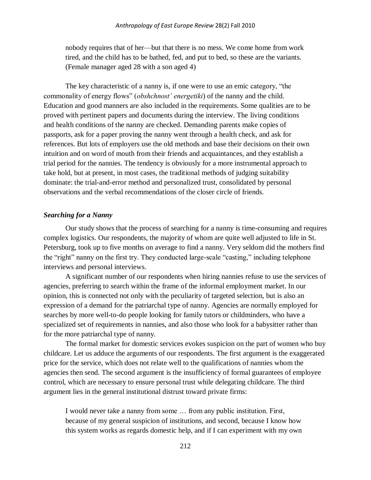nobody requires that of her—but that there is no mess. We come home from work tired, and the child has to be bathed, fed, and put to bed, so these are the variants. (Female manager aged 28 with a son aged 4)

The key characteristic of a nanny is, if one were to use an emic сategory, "the commonality of energy flows" (*obshchnost' energetiki*) of the nanny and the child. Education and good manners are also included in the requirements. Some qualities are to be proved with pertinent papers and documents during the interview. The living conditions and health conditions of the nanny are checked. Demanding parents make copies of passports, ask for a paper proving the nanny went through a health check, and ask for references. But lots of employers use the old methods and base their decisions on their own intuition and on word of mouth from their friends and acquaintances, and they establish a trial period for the nannies. The tendency is obviously for a more instrumental approach to take hold, but at present, in most cases, the traditional methods of judging suitability dominate: the trial-and-error method and personalized trust, consolidated by personal observations and the verbal recommendations of the closer circle of friends.

#### *Searching for a Nanny*

Our study shows that the process of searching for a nanny is time-consuming and requires complex logistics. Our respondents, the majority of whom are quite well adjusted to life in St. Petersburg, took up to five months on average to find a nanny. Very seldom did the mothers find the "right" nanny on the first try. They conducted large-scale "casting," including telephone interviews and personal interviews.

A significant number of our respondents when hiring nannies refuse to use the services of agencies, preferring to search within the frame of the informal employment market. In our opinion, this is connected not only with the peculiarity of targeted selection, but is also an expression of a demand for the patriarchal type of nanny. Agencies are normally employed for searches by more well-to-do people looking for family tutors or childminders, who have a specialized set of requirements in nannies, and also those who look for a babysitter rather than for the more patriarchal type of nanny.

The formal market for domestic services evokes suspicion on the part of women who buy childcare. Let us adduce the arguments of our respondents. The first argument is the exaggerated price for the service, which does not relate well to the qualifications of nannies whom the agencies then send. The second argument is the insufficiency of formal guarantees of employee control, which are necessary to ensure personal trust while delegating childcare. The third argument lies in the general institutional distrust toward private firms:

I would never take a nanny from some … from any public institution. First, because of my general suspicion of institutions, and second, because I know how this system works as regards domestic help, and if I can experiment with my own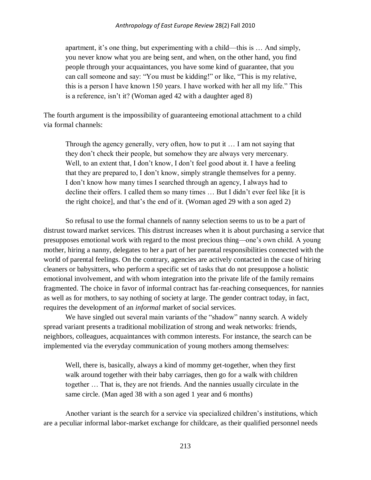apartment, it's one thing, but еxperimenting with a child—this is … And simply, you never know what you are being sent, and when, on the other hand, you find people through your acquaintances, you have some kind of guarantee, that you can call someone and say: "You must be kidding!" or like, "This is my relative, this is a person I have known 150 years. I have worked with her all my life." This is a reference, isn't it? (Woman aged 42 with a daughter aged 8)

The fourth argument is the impossibility of guaranteeing emotional attachment to a child via formal channels:

Through the agency generally, very often, how to put it … I am not saying that they don't check their people, but somehow they are always very mercenary. Well, to an extent that, I don't know, I don't feel good about it. I have a feeling that they are prepared to, I don't know, simply strangle themselves for a penny. I don't know how many times I searched through an agency, I always had to decline their offers. I called them so many times … But I didn't ever feel like [it is the right choice], and that's the end of it. (Woman aged 29 with a son aged 2)

So refusal to use the formal channels of nanny selection seems to us to be a part of distrust toward market services. This distrust increases when it is about purchasing a service that presupposes emotional work with regard to the most precious thing*—*one's own child. A young mother, hiring a nanny, delegates to her a part of her parental responsibilities connected with the world of parental feelings. On the contrary, agencies are actively contacted in the case of hiring cleaners or babysitters, who perform a specific set of tasks that do not presuppose a holistic emotional involvement, and with whom integration into the private life of the family remains fragmented. The choice in favor of informal contract has far-reaching consequences, for nannies as well as for mothers, to say nothing of society at large. The gender contract today, in fact, requires the development of an *informal* market of social services.

We have singled out several main variants of the "shadow" nanny search. A widely spread variant presents a traditional mobilization of strong and weak networks: friends, neighbors, colleagues, acquaintances with common interests. For instance, the search can be implemented via the everyday communication of young mothers among themselves:

Well, there is, basically, always a kind of mommy get-together, when they first walk around together with their baby carriages, then go for a walk with children together … That is, they are not friends. And the nannies usually circulate in the same circle. (Man aged 38 with a son aged 1 year and 6 months)

Another variant is the search for a service via specialized children's institutions, which are a peculiar informal labor-market exchange for childcare, as their qualified personnel needs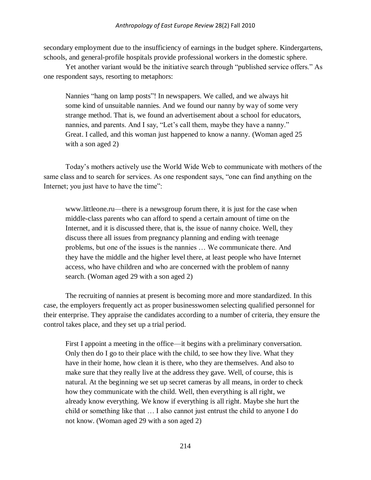secondary employment due to the insufficiency of earnings in the budget sphere. Kindergartens, schools, and general-profile hospitals provide professional workers in the domestic sphere.

Yet another variant would be the initiative search through "published service offers." As one respondent says, resorting to metaphors:

Nannies "hang on lamp posts"! In newspapers. We called, and we always hit some kind of unsuitable nannies. And we found our nanny by way of some very strange method. That is, we found an advertisement about a school for educators, nannies, and parents. And I say, "Let's call them, maybe they have a nanny." Great. I called, and this woman just happened to know a nanny. (Woman aged 25 with a son aged 2)

Today's mothers actively use the World Wide Web to communicate with mothers of the same class and to search for services. As one respondent says, "one can find anything on the Internet; you just have to have the time":

www.littleone.ru—there is a newsgroup forum there, it is just for the case when middle-class parents who can afford to spend a certain amount of time on the Internet, and it is discussed there, that is, the issue of nanny choice. Well, they discuss there all issues from pregnancy planning and ending with teenage problems, but one of the issues is the nannies … We communicate there. And they have the middle and the higher level there, at least people who have Internet access, who have children and who are concerned with the problem of nanny search. (Woman aged 29 with a son aged 2)

The recruiting of nannies at present is becoming more and more standardized. In this case, the employers frequently act as proper businesswomen selecting qualified personnel for their enterprise. They appraise the candidates according to a number of criteria, they ensure the control takes place, and they set up a trial period.

First I appoint a meeting in the office—it begins with a preliminary conversation. Only then do I go to their place with the child, to see how they live. What they have in their home, how clean it is there, who they are themselves. And also to make sure that they really live at the address they gave. Well, of course, this is natural. At the beginning we set up secret cameras by all means, in order to check how they communicate with the child. Well, then everything is all right, we already know everything. We know if everything is all right. Maybe she hurt the child or something like that … I also cannot just entrust the child to anyone I do not know. (Woman aged 29 with a son aged 2)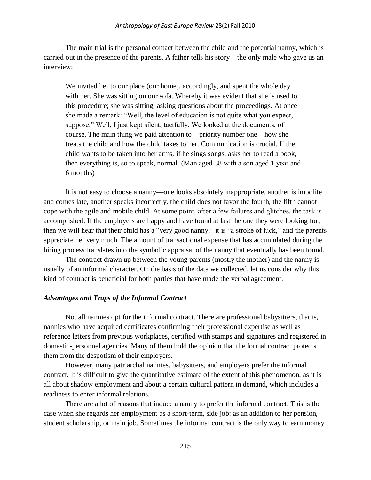#### *Anthropology of East Europe Review* 28(2) Fall 2010

The main trial is the personal contact between the child and the potential nanny, which is carried out in the presence of the parents. A father tells his story—the only male who gave us an interview:

We invited her to our place (our home), accordingly, and spent the whole day with her. She was sitting on our sofa. Whereby it was evident that she is used to this procedure; she was sitting, asking questions about the proceedings. At once she made a remark: "Well, the level of education is not quite what you expect, I suppose." Well, I just kept silent, tactfully. We looked at the documents, of course. The main thing we paid attention to—priority number one—how she treats the child and how the child takes to her. Communication is crucial. If the child wants to be taken into her arms, if he sings songs, asks her to read a book, then everything is, so to speak, normal. (Man aged 38 with a son aged 1 year and 6 months)

It is not easy to choose a nanny—one looks absolutely inappropriate, another is impolite and comes late, another speaks incorrectly, the child does not favor the fourth, the fifth cannot cope with the agile and mobile child. At some point, after a few failures and glitches, the task is accomplished. If the employers are happy and have found at last the one they were looking for, then we will hear that their child has a "very good nanny," it is "a stroke of luck," and the parents appreciate her very much. The amount of transactional expense that has accumulated during the hiring process translates into the symbolic appraisal of the nanny that eventually has been found.

The contract drawn up between the young parents (mostly the mother) and the nanny is usually of an informal character. On the basis of the data we collected, let us consider why this kind of contract is beneficial for both parties that have made the verbal agreement.

## *Advantages and Traps of the Informal Contract*

Not all nannies opt for the informal contract. There are professional babysitters, that is, nannies who have acquired certificates confirming their professional expertise as well as reference letters from previous workplaces, certified with stamps and signatures and registered in domestic-personnel agencies. Many of them hold the opinion that the formal contract protects them from the despotism of their employers.

However, many patriarchal nannies, babysitters, and employers prefer the informal contract. It is difficult to give the quantitative estimate of the extent of this phenomenon, as it is all about shadow employment and about a certain cultural pattern in demand, which includes a readiness to enter informal relations.

There are a lot of reasons that induce a nanny to prefer the informal contract. This is the case when she regards her employment as a short-term, side job: as an addition to her pension, student scholarship, or main job. Sometimes the informal contract is the only way to earn money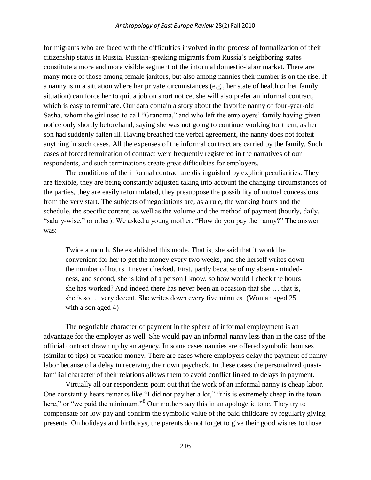for migrants who are faced with the difficulties involved in the process of formalization of their citizenship status in Russia. Russian-speaking migrants from Russia's neighboring states constitute a more and more visible segment of the informal domestic-labor market. There are many more of those among female janitors, but also among nannies their number is on the rise. If a nanny is in a situation where her private circumstances (e.g., her state of health or her family situation) can force her to quit a job on short notice, she will also prefer an informal contract, which is easy to terminate. Our data contain a story about the favorite nanny of four-year-old Sasha, whom the girl used to call "Grandma," and who left the employers' family having given notice only shortly beforehand, saying she was not going to continue working for them, as her son had suddenly fallen ill. Having breached the verbal agreement, the nanny does not forfeit anything in such cases. All the expenses of the informal contract are carried by the family. Such cases of forced termination of contract were frequently registered in the narratives of our respondents, and such terminations create great difficulties for employers.

The conditions of the informal contract are distinguished by explicit peculiarities. They are flexible, they are being constantly adjusted taking into account the changing circumstances of the parties, they are easily reformulated, they presuppose the possibility of mutual concessions from the very start. The subjects of negotiations are, as a rule, the working hours and the schedule, the specific content, as well as the volume and the method of payment (hourly, daily, "salary-wise," or other). We asked a young mother: "How do you pay the nanny?" The answer was:

Twice a month. She established this mode. That is, she said that it would be convenient for her to get the money every two weeks, and she herself writes down the number of hours. I never checked. First, partly because of my absent-mindedness, and second, she is kind of a person I know, so how would I check the hours she has worked? And indeed there has never been an occasion that she … that is, she is so … very decent. She writes down every five minutes. (Woman aged 25 with a son aged 4)

The negotiable character of payment in the sphere of informal employment is an advantage for the employer as well. She would pay an informal nanny less than in the case of the official contract drawn up by an agency. In some cases nannies are offered symbolic bonuses (similar to tips) or vacation money. There are cases where employers delay the payment of nanny labor because of a delay in receiving their own paycheck. In these cases the personalized quasifamilial character of their relations allows them to avoid conflict linked to delays in payment.

Virtually all our respondents point out that the work of an informal nanny is cheap labor. One constantly hears remarks like "I did not pay her a lot," "this is extremely cheap in the town here," or "we paid the minimum."<sup>8</sup> Our mothers say this in an apologetic tone. They try to compensate for low pay and confirm the symbolic value of the paid childcare by regularly giving presents. On holidays and birthdays, the parents do not forget to give their good wishes to those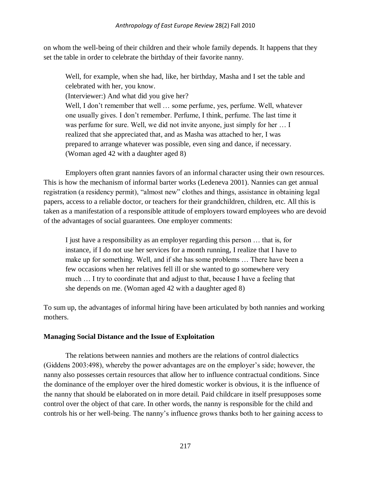on whom the well-being of their children and their whole family depends. It happens that they set the table in order to celebrate the birthday of their favorite nanny.

Well, for example, when she had, like, her birthday, Masha and I set the table and celebrated with her, you know.

(Interviewer:) And what did you give her?

Well, I don't remember that well ... some perfume, yes, perfume. Well, whatever one usually gives. I don't remember. Perfume, I think, perfume. The last time it was perfume for sure. Well, we did not invite anyone, just simply for her … I realized that she appreciated that, and as Masha was attached to her, I was prepared to arrange whatever was possible, even sing and dance, if necessary. (Woman aged 42 with a daughter aged 8)

Employers often grant nannies favors of an informal character using their own resources. This is how the mechanism of informal barter works (Ledeneva 2001). Nannies can get annual registration (a residency permit), "almost new" clothes and things, assistance in obtaining legal papers, access to a reliable doctor, or teachers for their grandchildren, children, etc. All this is taken as a manifestation of a responsible attitude of employers toward employees who are devoid of the advantages of social guarantees. One employer comments:

I just have a responsibility as an employer regarding this person … that is, for instance, if I do not use her services for a month running, I realize that I have to make up for something. Well, and if she has some problems … There have been a few occasions when her relatives fell ill or she wanted to go somewhere very much … I try to coordinate that and adjust to that, because I have a feeling that she depends on me. (Woman aged 42 with a daughter aged 8)

To sum up, the advantages of informal hiring have been articulated by both nannies and working mothers.

# **Managing Social Distance and the Issue of Exploitation**

The relations between nannies and mothers are the relations of control dialectics (Giddens 2003:498), whereby the power advantages are on the employer's side; however, the nanny also possesses certain resources that allow her to influence contractual conditions. Since the dominance of the employer over the hired domestic worker is obvious, it is the influence of the nanny that should be elaborated on in more detail. Paid childcare in itself presupposes some control over the object of that care. In other words, the nanny is responsible for the child and controls his or her well-being. The nanny's influence grows thanks both to her gaining access to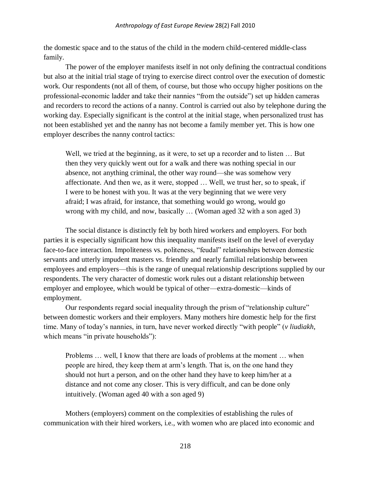the domestic space and to the status of the child in the modern child-centered middle-class family.

The power of the employer manifests itself in not only defining the contractual conditions but also at the initial trial stage of trying to exercise direct control over the execution of domestic work. Our respondents (not all of them, of course, but those who occupy higher positions on the professional-economic ladder and take their nannies "from the outside") set up hidden cameras and recorders to record the actions of a nanny. Control is carried out also by telephone during the working day. Especially significant is the control at the initial stage, when personalized trust has not been established yet and the nanny has not become a family member yet. This is how one employer describes the nanny control tactics:

Well, we tried at the beginning, as it were, to set up a recorder and to listen … But then they very quickly went out for a walk and there was nothing special in our absence, not anything criminal, the other way round—she was somehow very affectionate. And then we, as it were, stopped … Well, we trust her, so to speak, if I were to be honest with you. It was at the very beginning that we were very afraid; I was afraid, for instance, that something would go wrong, would go wrong with my child, and now, basically … (Woman aged 32 with a son aged 3)

The social distance is distinctly felt by both hired workers and employers. For both parties it is especially significant how this inequality manifests itself on the level of everyday face-to-face interaction. Impoliteness vs. politeness, "feudal" relationships between domestic servants and utterly impudent masters vs. friendly and nearly familial relationship between employees and employers—this is the range of unequal relationship descriptions supplied by our respondents. The very character of domestic work rules out a distant relationship between employer and employee, which would be typical of other—extra-domestic—kinds of employment.

Our respondents regard social inequality through the prism of "relationship culture" between domestic workers and their employers. Many mothers hire domestic help for the first time. Many of today's nannies, in turn, have never worked directly "with people" (*v liudiakh*, which means "in private households"):

Problems … well, I know that there are loads of problems at the moment … when people are hired, they keep them at arm's length. That is, on the one hand they should not hurt a person, and on the other hand they have to keep him/her at a distance and not come any closer. This is very difficult, and can be done only intuitively. (Woman aged 40 with a son aged 9)

Mothers (employers) comment on the complexities of establishing the rules of communication with their hired workers, i.e., with women who are placed into economic and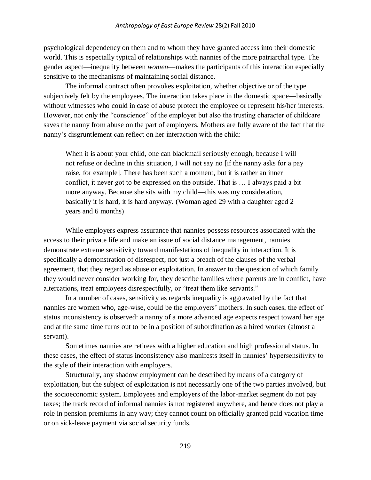psychological dependency on them and to whom they have granted access into their domestic world. This is especially typical of relationships with nannies of the more patriarchal type. The gender aspect—inequality between *women*—makes the participants of this interaction especially sensitive to the mechanisms of maintaining social distance.

The informal contract often provokes exploitation, whether objective or of the type subjectively felt by the employees. The interaction takes place in the domestic space—basically without witnesses who could in case of abuse protect the employee or represent his/her interests. However, not only the "conscience" of the employer but also the trusting character of childcare saves the nanny from abuse on the part of employers. Mothers are fully aware of the fact that the nanny's disgruntlement can reflect on her interaction with the child:

When it is about your child, one can blackmail seriously enough, because I will not refuse or decline in this situation, I will not say no [if the nanny asks for a pay raise, for example]. There has been such a moment, but it is rather an inner conflict, it never got to be expressed on the outside. That is … I always paid a bit more anyway. Because she sits with my child—this was my consideration, basically it is hard, it is hard anyway. (Woman aged 29 with a daughter aged 2 years and 6 months)

While employers express assurance that nannies possess resources associated with the access to their private life and make an issue of social distance management, nannies demonstrate extreme sensitivity toward manifestations of inequality in interaction. It is specifically a demonstration of disrespect, not just a breach of the clauses of the verbal agreement, that they regard as abuse or exploitation. In answer to the question of which family they would never consider working for, they describe families where parents are in conflict, have altercations, treat employees disrespectfully, or "treat them like servants."

In a number of cases, sensitivity as regards inequality is aggravated by the fact that nannies are women who, age-wise, could be the employers' mothers. In such cases, the effect of status inconsistency is observed: a nanny of a more advanced age expects respect toward her age and at the same time turns out to be in a position of subordination as a hired worker (almost a servant).

Sometimes nannies are retirees with a higher education and high professional status. In these cases, the effect of status inconsistency also manifests itself in nannies' hypersensitivity to the style of their interaction with employers.

Structurally, any shadow employment can be described by means of a category of exploitation, but the subject of exploitation is not necessarily one of the two parties involved, but the socioeconomic system. Employees and employers of the labor-market segment do not pay taxes; the track record of informal nannies is not registered anywhere, and hence does not play a role in pension premiums in any way; they cannot count on officially granted paid vacation time or on sick-leave payment via social security funds.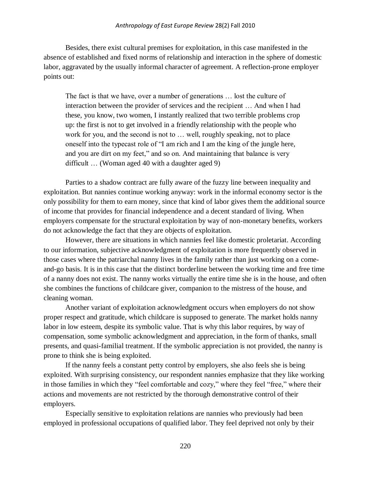#### *Anthropology of East Europe Review* 28(2) Fall 2010

Besides, there exist cultural premises for exploitation, in this case manifested in the absence of established and fixed norms of relationship and interaction in the sphere of domestic labor, aggravated by the usually informal character of agreement. A reflection-prone employer points out:

The fact is that we have, over a number of generations … lost the culture of interaction between the provider of services and the recipient … And when I had these, you know, two women, I instantly realized that two terrible problems crop up: the first is not to get involved in a friendly relationship with the people who work for you, and the second is not to … well, roughly speaking, not to place oneself into the typecast role of "I am rich and I am the king of the jungle here, and you are dirt on my feet," and so on. And maintaining that balance is very difficult … (Woman aged 40 with a daughter aged 9)

Parties to a shadow contract are fully aware of the fuzzy line between inequality and exploitation. But nannies continue working anyway: work in the informal economy sector is the only possibility for them to earn money, since that kind of labor gives them the additional source of income that provides for financial independence and a decent standard of living. When employers compensate for the structural exploitation by way of non-monetary benefits, workers do not acknowledge the fact that they are objects of exploitation.

However, there are situations in which nannies feel like domestic proletariat. According to our information, subjective acknowledgment of exploitation is more frequently observed in those cases where the patriarchal nanny lives in the family rather than just working on a comeand-go basis. It is in this case that the distinct borderline between the working time and free time of a nanny does not exist. The nanny works virtually the entire time she is in the house, and often she combines the functions of childcare giver, companion to the mistress of the house, and cleaning woman.

Another variant of exploitation acknowledgment occurs when employers do not show proper respect and gratitude, which childcare is supposed to generate. The market holds nanny labor in low esteem, despite its symbolic value. That is why this labor requires, by way of compensation, some symbolic acknowledgment and appreciation, in the form of thanks, small presents, and quasi-familial treatment. If the symbolic appreciation is not provided, the nanny is prone to think she is being exploited.

If the nanny feels a constant petty control by employers, she also feels she is being exploited. With surprising consistency, our respondent nannies emphasize that they like working in those families in which they "feel comfortable and cozy," where they feel "free," where their actions and movements are not restricted by the thorough demonstrative control of their employers.

Especially sensitive to exploitation relations are nannies who previously had been employed in professional occupations of qualified labor. They feel deprived not only by their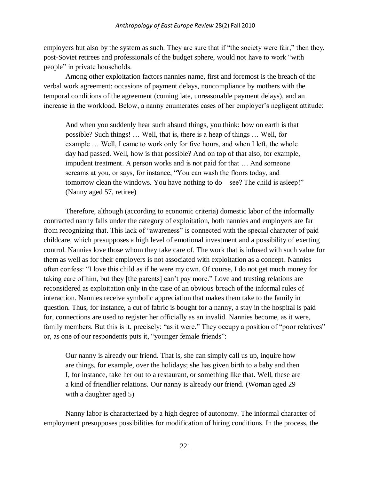employers but also by the system as such. They are sure that if "the society were fair," then they, post-Soviet retirees and professionals of the budget sphere, would not have to work "with people" in private households.

Among other exploitation factors nannies name, first and foremost is the breach of the verbal work agreement: occasions of payment delays, noncompliance by mothers with the temporal conditions of the agreement (coming late, unreasonable payment delays), and an increase in the workload. Below, a nanny enumerates cases of her employer's negligent attitude:

And when you suddenly hear such absurd things, you think: how on earth is that possible? Such things! … Well, that is, there is a heap of things … Well, for example … Well, I came to work only for five hours, and when I left, the whole day had passed. Well, how is that possible? And on top of that also, for example, impudent treatment. A person works and is not paid for that … And someone screams at you, or says, for instance, "You can wash the floors today, and tomorrow clean the windows. You have nothing to do—see? The child is asleep!" (Nanny aged 57, retiree)

Therefore, although (according to economic criteria) domestic labor of the informally contracted nanny falls under the category of exploitation, both nannies and employers are far from recognizing that. This lack of "awareness" is connected with the special character of paid childcare, which presupposes a high level of emotional investment and a possibility of exerting control. Nannies love those whom they take care of. The work that is infused with such value for them as well as for their employers is not associated with exploitation as a concept. Nannies often confess: "I love this child as if he were my own. Of course, I do not get much money for taking care of him, but they [the parents] can't pay more." Love and trusting relations are reconsidered as exploitation only in the case of an obvious breach of the informal rules of interaction. Nannies receive symbolic appreciation that makes them take to the family in question. Thus, for instance, a cut of fabric is bought for a nanny, a stay in the hospital is paid for, connections are used to register her officially as an invalid. Nannies become, as it were, family members. But this is it, precisely: "as it were." They occupy a position of "poor relatives" or, as one of our respondents puts it, "younger female friends":

Our nanny is already our friend. That is, she can simply call us up, inquire how are things, for example, over the holidays; she has given birth to a baby and then I, for instance, take her out to a restaurant, or something like that. Well, these are a kind of friendlier relations. Our nanny is already our friend. (Woman aged 29 with a daughter aged 5)

Nanny labor is characterized by a high degree of autonomy. The informal character of employment presupposes possibilities for modification of hiring conditions. In the process, the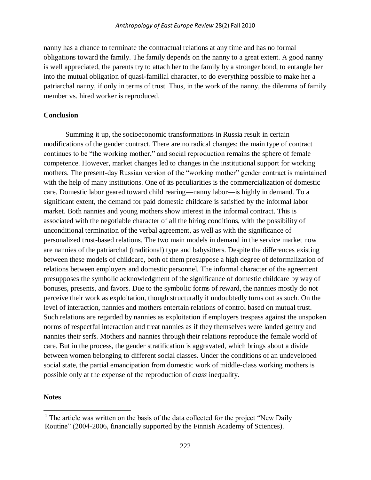nanny has a chance to terminate the contractual relations at any time and has no formal obligations toward the family. The family depends on the nanny to a great extent. A good nanny is well appreciated, the parents try to attach her to the family by a stronger bond, to entangle her into the mutual obligation of quasi-familial character, to do everything possible to make her a patriarchal nanny, if only in terms of trust. Thus, in the work of the nanny, the dilemma of family member vs. hired worker is reproduced.

## **Conclusion**

Summing it up, the socioeconomic transformations in Russia result in certain modifications of the gender contract. There are no radical changes: the main type of contract continues to be "the working mother," and social reproduction remains the sphere of female competence. However, market changes led to changes in the institutional support for working mothers. The present-day Russian version of the "working mother" gender contract is maintained with the help of many institutions. One of its peculiarities is the commercialization of domestic care. Domestic labor geared toward child rearing—nanny labor—is highly in demand. To a significant extent, the demand for paid domestic childcare is satisfied by the informal labor market. Both nannies and young mothers show interest in the informal contract. This is associated with the negotiable character of all the hiring conditions, with the possibility of unconditional termination of the verbal agreement, as well as with the significance of personalized trust-based relations. The two main models in demand in the service market now are nannies of the patriarchal (traditional) type and babysitters. Despite the differences existing between these models of childcare, both of them presuppose a high degree of deformalization of relations between employers and domestic personnel. The informal character of the agreement presupposes the symbolic acknowledgment of the significance of domestic childcare by way of bonuses, presents, and favors. Due to the symbolic forms of reward, the nannies mostly do not perceive their work as exploitation, though structurally it undoubtedly turns out as such. On the level of interaction, nannies and mothers entertain relations of control based on mutual trust. Such relations are regarded by nannies as exploitation if employers trespass against the unspoken norms of respectful interaction and treat nannies as if they themselves were landed gentry and nannies their serfs. Mothers and nannies through their relations reproduce the female world of care. But in the process, the gender stratification is aggravated, which brings about a divide between women belonging to different social classes. Under the conditions of an undeveloped social state, the partial emancipation from domestic work of middle-class working mothers is possible only at the expense of the reproduction of *class* inequality.

## **Notes**

 $\overline{a}$ 

<sup>&</sup>lt;sup>1</sup> The article was written on the basis of the data collected for the project "New Daily" Routine" (2004-2006, financially supported by the Finnish Academy of Sciences).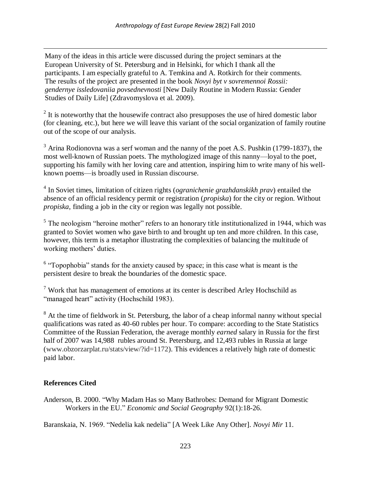Many of the ideas in this article were discussed during the project seminars at the European University of St. Petersburg and in Helsinki, for which I thank all the participants. I am especially grateful to A. Temkina and A. Rotkirch for their comments. The results of the project are presented in the book *Novyi byt v sovremennoi Rossii: gendernye issledovaniia povsednevnosti* [New Daily Routine in Modern Russia: Gender Studies of Daily Life] (Zdravomyslova et al. 2009).

 $2<sup>2</sup>$  It is noteworthy that the housewife contract also presupposes the use of hired domestic labor (for cleaning, etc.), but here we will leave this variant of the social organization of family routine out of the scope of our analysis.

 $3$  Arina Rodionovna was a serf woman and the nanny of the poet A.S. Pushkin (1799-1837), the most well-known of Russian poets. The mythologized image of this nanny—loyal to the poet, supporting his family with her loving care and attention, inspiring him to write many of his wellknown poems—is broadly used in Russian discourse.

4 In Soviet times, limitation of citizen rights (*ogranichenie grazhdanskikh prav*) entailed the absence of an official residency permit or registration (*propiska*) for the city or region. Without *propiska*, finding a job in the city or region was legally not possible.

 $<sup>5</sup>$  The neologism "heroine mother" refers to an honorary title institutionalized in 1944, which was</sup> granted to Soviet women who gave birth to and brought up ten and more children. In this case, however, this term is a metaphor illustrating the complexities of balancing the multitude of working mothers' duties.

 $6$  "Topophobia" stands for the anxiety caused by space; in this case what is meant is the persistent desire to break the boundaries of the domestic space.

 $<sup>7</sup>$  Work that has management of emotions at its center is described Arley Hochschild as</sup> "managed heart" activity (Hochschild 1983).

<sup>8</sup> At the time of fieldwork in St. Petersburg, the labor of a cheap informal nanny without special qualifications was rated as 40-60 rubles per hour. To compare: according to the State Statistics Committee of the Russian Federation, the average monthly *earned* salary in Russia for the first half of 2007 was 14,988 rubles around St. Petersburg, and 12,493 rubles in Russia at large [\(www.obzorzarplat.ru/stats/view/?id=1172\)](http://www.obzorzarplat.ru/stats/view/?id=1172). This evidences a relatively high rate of domestic paid labor.

# **References Cited**

 $\overline{a}$ 

Anderson, B. 2000. "Why Madam Has so Many Bathrobes: Demand for Migrant Domestic Workers in the EU." *Economic and Social Geography* 92(1):18-26.

Baranskaia, N. 1969. "Nedelia kak nedelia" [A Week Like Any Other]. *Novyi Mir* 11.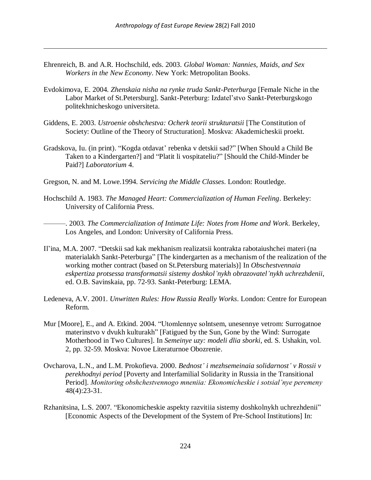Ehrenreich, B. and A.R. Hochschild, eds. 2003. *Global Woman: Nannies, Maids, and Sex Workers in the New Economy*. New York: Metropolitan Books.

 $\overline{a}$ 

- Evdokimova, E. 2004. *Zhenskaia nisha na rynke truda Sankt-Peterburga* [Female Niche in the Labor Market of St.Petersburg]. Sankt-Peterburg: Izdatel'stvo Sankt-Peterburgskogo politekhnicheskogo universiteta.
- Giddens, E. 2003. *Ustroenie obshchestva: Ocherk teorii strukturatsii* [The Constitution of Society: Outline of the Theory of Structuration]. Moskva: Akademicheskii proekt.
- Gradskova, Iu. (in print). "Kogda otdavat' rebenka v detskii sad?" [When Should a Child Be Taken to a Kindergarten?] and "Platit li vospitateliu?" [Should the Child-Minder be Paid?] *Laboratorium* 4.
- Gregson, N. and M. Lowe.1994. *Servicing the Middle Classes*. London: Routledge.
- Hochschild A. 1983. *The Managed Heart: Commercialization of Human Feeling*. Berkeley: University of California Press.

———. 2003. *The Commercialization of Intimate Life: Notes from Home and Work*. Berkeley, Los Angeles, and London: University of California Press.

- Il'ina, M.A. 2007. "Detskii sad kak mekhanism realizatsii kontrakta rabotaiushchei materi (na materialakh Sankt-Peterburga" [The kindergarten as a mechanism of the realization of the working mother contract (based on St.Petersburg materials)] In *Obschestvennaia eskpertiza protsessa transformatsii sistemy doshkol'nykh obrazovatel'nykh uchrezhdenii*, ed. O.B. Savinskaia, pp. 72-93. Sankt-Peterburg: LEMA.
- Ledeneva, A.V. 2001. *Unwritten Rules: How Russia Really Works*. London: Centre for European Reform.
- Mur [Moore], E., and A. Etkind. 2004. "Utomlennye solntsem, unesennye vetrom: Surrogatnoe materinstvo v dvukh kulturakh" [Fatigued by the Sun, Gone by the Wind: Surrogate Motherhood in Two Cultures]. In *Semeinye uzy: modeli dlia sborki*, ed. S. Ushakin, vol. 2, pp. 32-59. Moskva: Novoe Literaturnoe Obozrenie.
- Ovcharova, L.N., and L.M. Prokofieva. 2000. *Bednost' i mezhsemeinaia solidarnost' v Rossii v perekhodnyi period* [Poverty and Interfamilial Solidarity in Russia in the Transitional Period]. *Monitoring obshchestvennogo mneniia: Ekonomicheskie i sotsial'nye peremeny* 48(4):23-31.
- Rzhanitsina, L.S. 2007. "Ekonomicheskie aspekty razvitiia sistemy doshkolnykh uchrezhdenii" [Economic Aspects of the Development of the System of Pre-School Institutions] In: